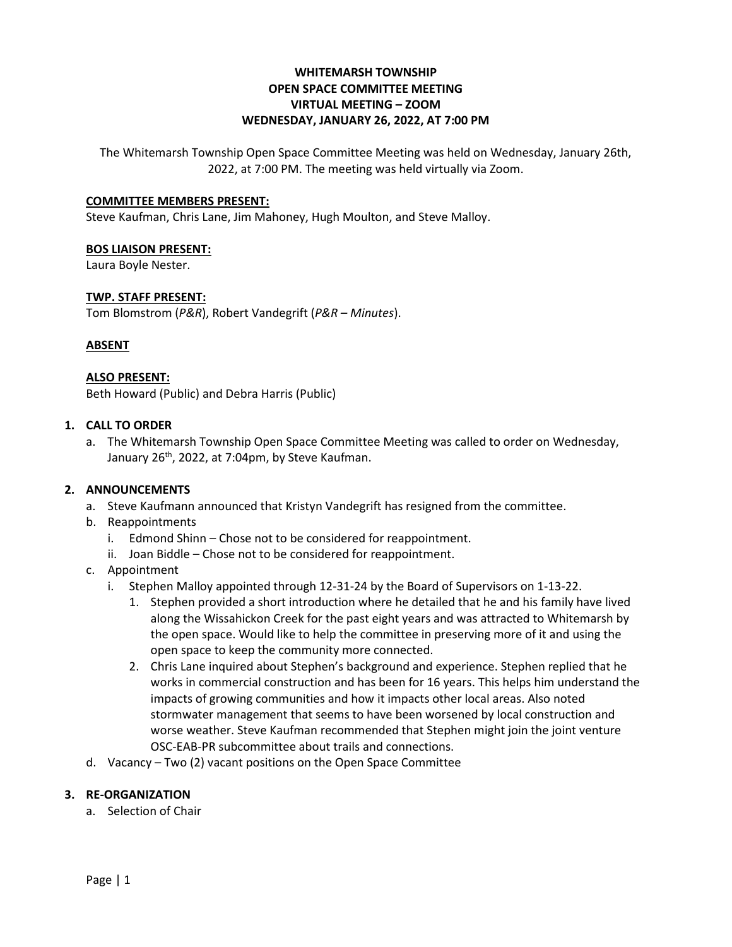# **WHITEMARSH TOWNSHIP OPEN SPACE COMMITTEE MEETING VIRTUAL MEETING – ZOOM WEDNESDAY, JANUARY 26, 2022, AT 7:00 PM**

The Whitemarsh Township Open Space Committee Meeting was held on Wednesday, January 26th, 2022, at 7:00 PM. The meeting was held virtually via Zoom.

#### **COMMITTEE MEMBERS PRESENT:**

Steve Kaufman, Chris Lane, Jim Mahoney, Hugh Moulton, and Steve Malloy.

#### **BOS LIAISON PRESENT:**

Laura Boyle Nester.

#### **TWP. STAFF PRESENT:**

Tom Blomstrom (*P&R*), Robert Vandegrift (*P&R – Minutes*).

#### **ABSENT**

#### **ALSO PRESENT:**

Beth Howard (Public) and Debra Harris (Public)

#### **1. CALL TO ORDER**

a. The Whitemarsh Township Open Space Committee Meeting was called to order on Wednesday, January 26<sup>th</sup>, 2022, at 7:04pm, by Steve Kaufman.

## **2. ANNOUNCEMENTS**

- a. Steve Kaufmann announced that Kristyn Vandegrift has resigned from the committee.
- b. Reappointments
	- i. Edmond Shinn Chose not to be considered for reappointment.
	- ii. Joan Biddle Chose not to be considered for reappointment.
- c. Appointment
	- i. Stephen Malloy appointed through 12-31-24 by the Board of Supervisors on 1-13-22.
		- 1. Stephen provided a short introduction where he detailed that he and his family have lived along the Wissahickon Creek for the past eight years and was attracted to Whitemarsh by the open space. Would like to help the committee in preserving more of it and using the open space to keep the community more connected.
		- 2. Chris Lane inquired about Stephen's background and experience. Stephen replied that he works in commercial construction and has been for 16 years. This helps him understand the impacts of growing communities and how it impacts other local areas. Also noted stormwater management that seems to have been worsened by local construction and worse weather. Steve Kaufman recommended that Stephen might join the joint venture OSC-EAB-PR subcommittee about trails and connections.
- d. Vacancy Two (2) vacant positions on the Open Space Committee

## **3. RE-ORGANIZATION**

a. Selection of Chair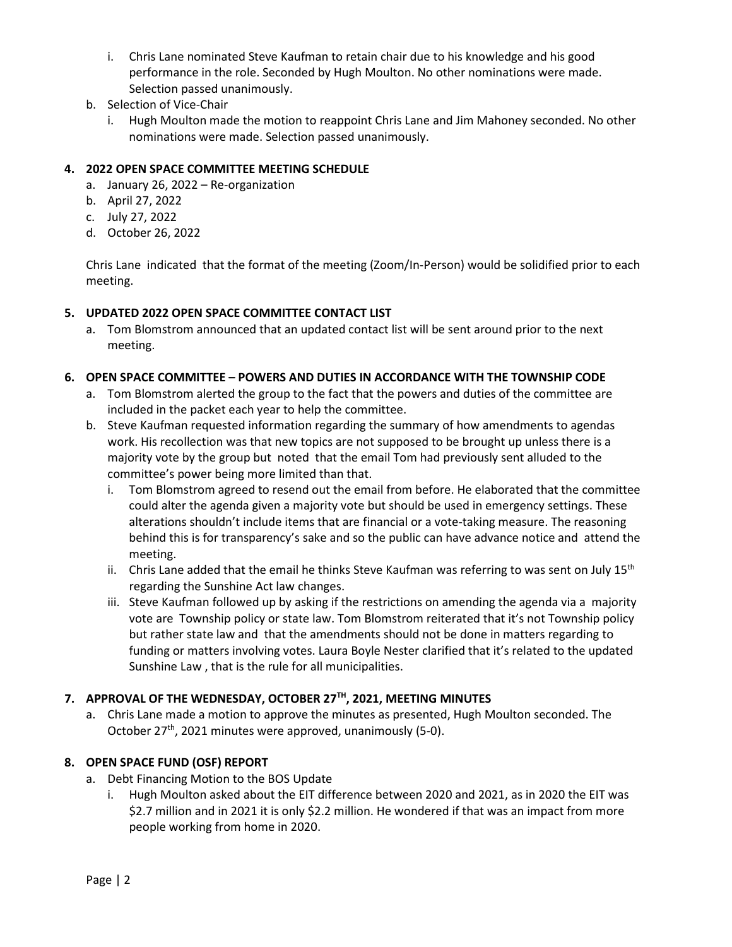- i. Chris Lane nominated Steve Kaufman to retain chair due to his knowledge and his good performance in the role. Seconded by Hugh Moulton. No other nominations were made. Selection passed unanimously.
- b. Selection of Vice-Chair
	- i. Hugh Moulton made the motion to reappoint Chris Lane and Jim Mahoney seconded. No other nominations were made. Selection passed unanimously.

## **4. 2022 OPEN SPACE COMMITTEE MEETING SCHEDULE**

- a. January 26, 2022 Re-organization
- b. April 27, 2022
- c. July 27, 2022
- d. October 26, 2022

Chris Lane indicated that the format of the meeting (Zoom/In-Person) would be solidified prior to each meeting.

## **5. UPDATED 2022 OPEN SPACE COMMITTEE CONTACT LIST**

a. Tom Blomstrom announced that an updated contact list will be sent around prior to the next meeting.

## **6. OPEN SPACE COMMITTEE – POWERS AND DUTIES IN ACCORDANCE WITH THE TOWNSHIP CODE**

- a. Tom Blomstrom alerted the group to the fact that the powers and duties of the committee are included in the packet each year to help the committee.
- b. Steve Kaufman requested information regarding the summary of how amendments to agendas work. His recollection was that new topics are not supposed to be brought up unless there is a majority vote by the group but noted that the email Tom had previously sent alluded to the committee's power being more limited than that.
	- i. Tom Blomstrom agreed to resend out the email from before. He elaborated that the committee could alter the agenda given a majority vote but should be used in emergency settings. These alterations shouldn't include items that are financial or a vote-taking measure. The reasoning behind this is for transparency's sake and so the public can have advance notice and attend the meeting.
	- ii. Chris Lane added that the email he thinks Steve Kaufman was referring to was sent on July  $15<sup>th</sup>$ regarding the Sunshine Act law changes.
	- iii. Steve Kaufman followed up by asking if the restrictions on amending the agenda via a majority vote are Township policy or state law. Tom Blomstrom reiterated that it's not Township policy but rather state law and that the amendments should not be done in matters regarding to funding or matters involving votes. Laura Boyle Nester clarified that it's related to the updated Sunshine Law , that is the rule for all municipalities.

# **7. APPROVAL OF THE WEDNESDAY, OCTOBER 27TH, 2021, MEETING MINUTES**

a. Chris Lane made a motion to approve the minutes as presented, Hugh Moulton seconded. The October  $27<sup>th</sup>$ , 2021 minutes were approved, unanimously (5-0).

## **8. OPEN SPACE FUND (OSF) REPORT**

- a. Debt Financing Motion to the BOS Update
	- i. Hugh Moulton asked about the EIT difference between 2020 and 2021, as in 2020 the EIT was \$2.7 million and in 2021 it is only \$2.2 million. He wondered if that was an impact from more people working from home in 2020.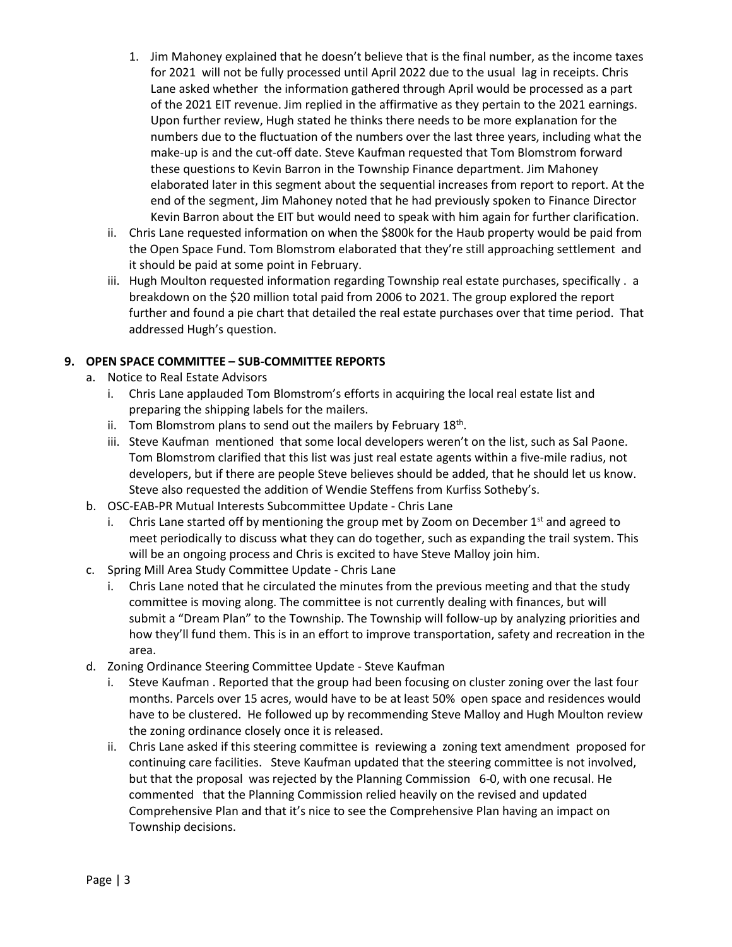- 1. Jim Mahoney explained that he doesn't believe that is the final number, as the income taxes for 2021 will not be fully processed until April 2022 due to the usual lag in receipts. Chris Lane asked whether the information gathered through April would be processed as a part of the 2021 EIT revenue. Jim replied in the affirmative as they pertain to the 2021 earnings. Upon further review, Hugh stated he thinks there needs to be more explanation for the numbers due to the fluctuation of the numbers over the last three years, including what the make-up is and the cut-off date. Steve Kaufman requested that Tom Blomstrom forward these questions to Kevin Barron in the Township Finance department. Jim Mahoney elaborated later in this segment about the sequential increases from report to report. At the end of the segment, Jim Mahoney noted that he had previously spoken to Finance Director Kevin Barron about the EIT but would need to speak with him again for further clarification.
- ii. Chris Lane requested information on when the \$800k for the Haub property would be paid from the Open Space Fund. Tom Blomstrom elaborated that they're still approaching settlement and it should be paid at some point in February.
- iii. Hugh Moulton requested information regarding Township real estate purchases, specifically . a breakdown on the \$20 million total paid from 2006 to 2021. The group explored the report further and found a pie chart that detailed the real estate purchases over that time period. That addressed Hugh's question.

# **9. OPEN SPACE COMMITTEE – SUB-COMMITTEE REPORTS**

- a. Notice to Real Estate Advisors
	- i. Chris Lane applauded Tom Blomstrom's efforts in acquiring the local real estate list and preparing the shipping labels for the mailers.
	- ii. Tom Blomstrom plans to send out the mailers by February  $18<sup>th</sup>$ .
	- iii. Steve Kaufman mentioned that some local developers weren't on the list, such as Sal Paone. Tom Blomstrom clarified that this list was just real estate agents within a five-mile radius, not developers, but if there are people Steve believes should be added, that he should let us know. Steve also requested the addition of Wendie Steffens from Kurfiss Sotheby's.
- b. OSC-EAB-PR Mutual Interests Subcommittee Update Chris Lane
	- i. Chris Lane started off by mentioning the group met by Zoom on December  $1<sup>st</sup>$  and agreed to meet periodically to discuss what they can do together, such as expanding the trail system. This will be an ongoing process and Chris is excited to have Steve Malloy join him.
- c. Spring Mill Area Study Committee Update Chris Lane
	- i. Chris Lane noted that he circulated the minutes from the previous meeting and that the study committee is moving along. The committee is not currently dealing with finances, but will submit a "Dream Plan" to the Township. The Township will follow-up by analyzing priorities and how they'll fund them. This is in an effort to improve transportation, safety and recreation in the area.
- d. Zoning Ordinance Steering Committee Update Steve Kaufman
	- i. Steve Kaufman . Reported that the group had been focusing on cluster zoning over the last four months. Parcels over 15 acres, would have to be at least 50% open space and residences would have to be clustered. He followed up by recommending Steve Malloy and Hugh Moulton review the zoning ordinance closely once it is released.
	- ii. Chris Lane asked if this steering committee is reviewing a zoning text amendment proposed for continuing care facilities. Steve Kaufman updated that the steering committee is not involved, but that the proposal was rejected by the Planning Commission 6-0, with one recusal. He commented that the Planning Commission relied heavily on the revised and updated Comprehensive Plan and that it's nice to see the Comprehensive Plan having an impact on Township decisions.